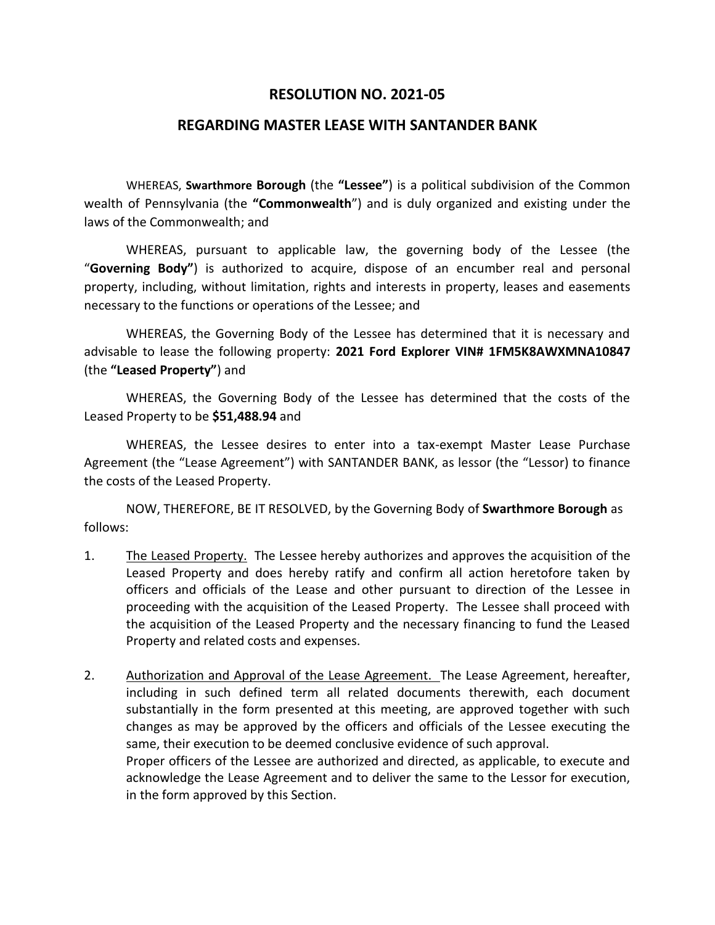## **RESOLUTION NO. 2021-05**

## **REGARDING MASTER LEASE WITH SANTANDER BANK**

WHEREAS, **Swarthmore Borough** (the **"Lessee"**) is a political subdivision of the Common wealth of Pennsylvania (the **"Commonwealth**") and is duly organized and existing under the laws of the Commonwealth; and

WHEREAS, pursuant to applicable law, the governing body of the Lessee (the "**Governing Body"**) is authorized to acquire, dispose of an encumber real and personal property, including, without limitation, rights and interests in property, leases and easements necessary to the functions or operations of the Lessee; and

WHEREAS, the Governing Body of the Lessee has determined that it is necessary and advisable to lease the following property: **2021 Ford Explorer VIN# 1FM5K8AWXMNA10847** (the **"Leased Property"**) and

WHEREAS, the Governing Body of the Lessee has determined that the costs of the Leased Property to be **\$51,488.94** and

WHEREAS, the Lessee desires to enter into a tax-exempt Master Lease Purchase Agreement (the "Lease Agreement") with SANTANDER BANK, as lessor (the "Lessor) to finance the costs of the Leased Property.

NOW, THEREFORE, BE IT RESOLVED, by the Governing Body of **Swarthmore Borough** as follows:

- 1. The Leased Property. The Lessee hereby authorizes and approves the acquisition of the Leased Property and does hereby ratify and confirm all action heretofore taken by officers and officials of the Lease and other pursuant to direction of the Lessee in proceeding with the acquisition of the Leased Property. The Lessee shall proceed with the acquisition of the Leased Property and the necessary financing to fund the Leased Property and related costs and expenses.
- 2. Authorization and Approval of the Lease Agreement. The Lease Agreement, hereafter, including in such defined term all related documents therewith, each document substantially in the form presented at this meeting, are approved together with such changes as may be approved by the officers and officials of the Lessee executing the same, their execution to be deemed conclusive evidence of such approval. Proper officers of the Lessee are authorized and directed, as applicable, to execute and acknowledge the Lease Agreement and to deliver the same to the Lessor for execution,

in the form approved by this Section.